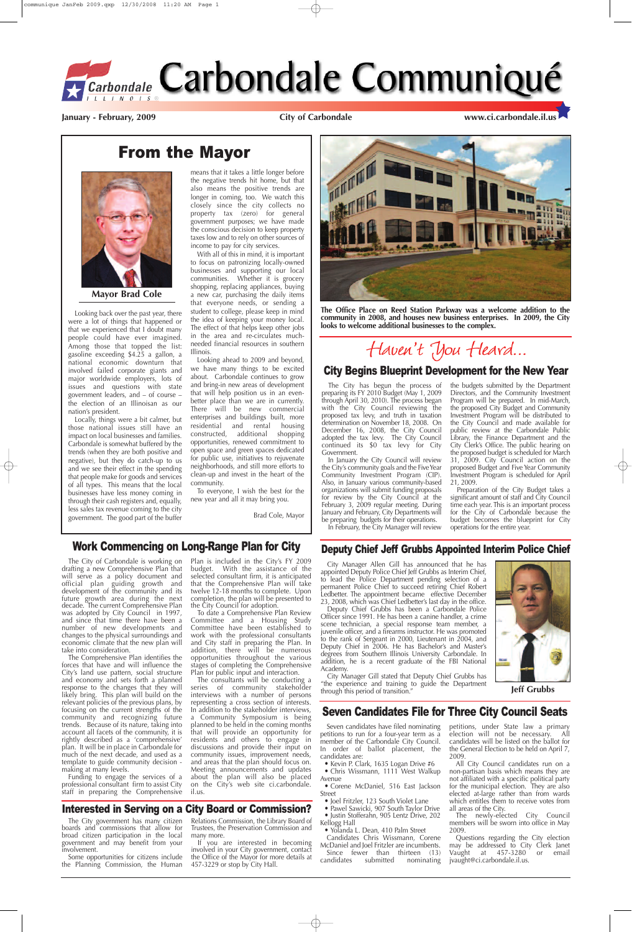# From the Mayor

The City has begun the process of preparing its FY 2010 Budget (May 1, 2009 through April 30, 2010). The process began with the City Council reviewing the proposed tax levy, and truth in taxation determination on November 18, 2008. On December 16, 2008, the City Council adopted the tax levy. The City Council continued its \$0 tax levy for City Government.

In January the City Council will review the City's community goals and the Five Year Community Investment Program (CIP). Also, in January various community-based organizations will submit funding proposals for review by the City Council at the February 3, 2009 regular meeting. During January and February, City Departments will be preparing budgets for their operations.

In February, the City Manager will review

the budgets submitted by the Department Directors, and the Community Investment Program will be prepared. In mid-March, the proposed City Budget and Community Investment Program will be distributed to the City Council and made available for public review at the Carbondale Public Library, the Finance Department and the City Clerk's Office. The public hearing on the proposed budget is scheduled for March 31, 2009. City Council action on the proposed Budget and Five Year Community Investment Program is scheduled for April 21, 2009.

Preparation of the City Budget takes a significant amount of staff and City Council time each year. This is an important process for the City of Carbondale because the budget becomes the blueprint for City operations for the entire year.

#### City Begins Blueprint Development for the New Year

Looking back over the past year, there were a lot of things that happened or that we experienced that I doubt many people could have ever imagined. Among those that topped the list: gasoline exceeding \$4.25 a gallon, a national economic downturn that involved failed corporate giants and major worldwide employers, lots of issues and questions with state government leaders, and – of course – the election of an Illinoisan as our nation's president.

Locally, things were a bit calmer, but those national issues still have an impact on local businesses and families. Carbondale is somewhat buffered by the trends (when they are both positive and negative), but they do catch-up to us and we see their effect in the spending that people make for goods and services of all types. This means that the local businesses have less money coming in through their cash registers and, equally, less sales tax revenue coming to the city government. The good part of the buffer

means that it takes a little longer before the negative trends hit home, but that also means the positive trends are longer in coming, too. We watch this closely since the city collects no property tax (zero) for general government purposes; we have made the conscious decision to keep property taxes low and to rely on other sources of income to pay for city services.

> • Justin Stofferahn, 905 Lentz Drive, 202 Kellogg Hall

> Candidates Chris Wissmann, Corene McDaniel and Joel Fritzler are incumbents. Since fewer than thirteen (13)<br>candidates submitted nominating nominating

With all of this in mind, it is important to focus on patronizing locally-owned businesses and supporting our local communities. Whether it is grocery shopping, replacing appliances, buying a new car, purchasing the daily items that everyone needs, or sending a student to college, please keep in mind the idea of keeping your money local. The effect of that helps keep other jobs in the area and re-circulates muchneeded financial resources in southern Illinois.

> The newly-elected City Council members will be sworn into office in May 2009.

Looking ahead to 2009 and beyond, we have many things to be excited about. Carbondale continues to grow and bring-in new areas of development that will help position us in an evenbetter place than we are in currently. There will be new commercial enterprises and buildings built, more residential and rental housing constructed, additional shopping opportunities, renewed commitment to open space and green spaces dedicated for public use, initiatives to rejuvenate neighborhoods, and still more efforts to clean-up and invest in the heart of the community.

To everyone, I wish the best for the new year and all it may bring you.

Brad Cole, Mayor



**Mayor Brad Cole**

#### Deputy Chief Jeff Grubbs Appointed Interim Police Chief

City Manager Allen Gill has announced that he has appointed Deputy Police Chief Jeff Grubbs as Interim Chief, to lead the Police Department pending selection of a permanent Police Chief to succeed retiring Chief Robert Ledbetter. The appointment became effective December 23, 2008, which was Chief Ledbetter's last day in the office.

The consultants will be conducting a series of community stakeholder interviews with a number of persons representing a cross section of interests. In addition to the stakeholder interviews, a Community Symposium is being planned to be held in the coming months that will provide an opportunity for residents and others to engage in discussions and provide their input on community issues, improvement needs, and areas that the plan should focus on. Meeting announcements and updates about the plan will also be placed on the City's web site ci.carbondale. il.us.

Deputy Chief Grubbs has been a Carbondale Police Officer since 1991. He has been a canine handler, a crime scene technician, a special response team member, a juvenile officer, and a firearms instructor. He was promoted to the rank of Sergeant in 2000, Lieutenant in 2004, and Deputy Chief in 2006. He has Bachelor's and Master's degrees from Southern Illinois University Carbondale. In addition, he is a recent graduate of the FBI National Academy. City Manager Gill stated that Deputy Chief Grubbs has "the experience and training to guide the Department through this period of transition."



**The Office Place on Reed Station Parkway was a welcome addition to the community in 2008, and houses new business enterprises. In 2009, the City looks to welcome additional businesses to the complex.**

# Haven't You Heard...

# Seven Candidates File for Three City Council Seats

Seven candidates have filed nominating petitions to run for a four-year term as a member of the Carbondale City Council. In order of ballot placement, the candidates are:

**•** Kevin P. Clark, 1635 Logan Drive #6 **•** Chris Wissmann, 1111 West Walkup Avenue

**•** Corene McDaniel, 516 East Jackson Street

**•** Joel Fritzler, 123 South Violet Lane

• Pawel Sawicki, 907 South Taylor Drive

**•** Yolanda L. Dean, 410 Palm Street

petitions, under State law a primary election will not be necessary. All candidates will be listed on the ballot for the General Election to be held on April 7, 2009.

All City Council candidates run on a non-partisan basis which means they are not affiliated with a specific political party for the municipal election. They are also elected at-large rather than from wards which entitles them to receive votes from all areas of the City.

Questions regarding the City election may be addressed to City Clerk Janet Vaught at 457-3280 or email jvaught@ci.carbondale.il.us.

Work Commencing on Long-Range Plan for City

The City of Carbondale is working on drafting a new Comprehensive Plan that will serve as a policy document and official plan guiding growth and development of the community and its future growth area during the next decade. The current Comprehensive Plan was adopted by City Council in 1997, and since that time there have been a number of new developments and changes to the physical surroundings and economic climate that the new plan will take into consideration. The Comprehensive Plan identifies the forces that have and will influence the City's land use pattern, social structure and economy and sets forth a planned response to the changes that they will likely bring. This plan will build on the relevant policies of the previous plans, by focusing on the current strengths of the community and recognizing future trends. Because of its nature, taking into account all facets of the community, it is rightly described as a 'comprehensive' plan. It will be in place in Carbondale for much of the next decade, and used as a template to guide community decision making at many levels. Funding to engage the services of a professional consultant firm to assist City staff in preparing the Comprehensive

Plan is included in the City's FY 2009 budget. With the assistance of the selected consultant firm, it is anticipated that the Comprehensive Plan will take twelve 12-18 months to complete. Upon completion, the plan will be presented to the City Council for adoption.

To date a Comprehensive Plan Review Committee and a Housing Study Committee have been established to work with the professional consultants and City staff in preparing the Plan. In addition, there will be numerous

opportunities throughout the various stages of completing the Comprehensive Plan for public input and interaction.

**Jeff Grubbs**

#### Interested in Serving on a City Board or Commission?

The City government has many citizen boards and commissions that allow for broad citizen participation in the local government and may benefit from your involvement.

Some opportunities for citizens include the Planning Commission, the Human

Relations Commission, the Library Board of Trustees, the Preservation Commission and many more.

If you are interested in becoming involved in your City government, contact the Office of the Mayor for more details at 457-3229 or stop by City Hall.

**January - February, 2009 City of Carbondale www.ci.carbondale.il.us**

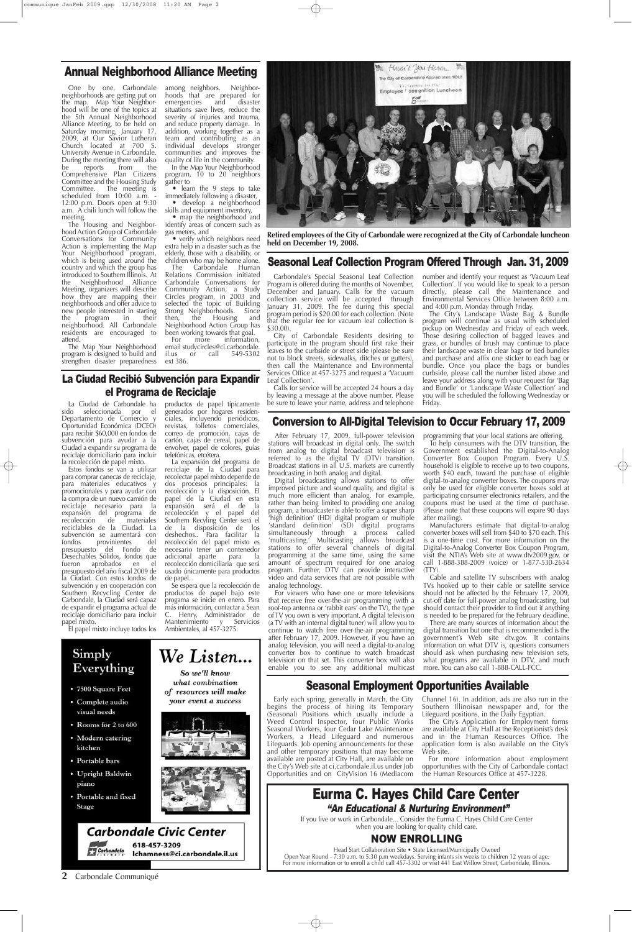#### **2** Carbondale Communiqué

### Annual Neighborhood Alliance Meeting

neighborhoods are getting put on the map. Map Your Neighborhood will be one of the topics at the 5th Annual Neighborhood Alliance Meeting, to be held on Saturday morning, January 17, 2009, at Our Savior Lutheran Church located at 700 S. University Avenue in Carbondale. During the meeting there will also<br>be reports from the be reports from the Comprehensive Plan Citizens Committee and the Housing Study Committee. The meeting is scheduled from 10:00 a.m. - 12:00 p.m. Doors open at 9:30 a.m. A chili lunch will follow the meeting.

One by one, Carbondale among neighbors. Neighborhoods that are prepared for emergencies and disaster situations save lives, reduce the severity of injuries and trauma, and reduce property damage. In addition, working together as a team and contributing as an individual develops stronger communities and improves the quality of life in the community. In the Map Your Neighborhood

The Housing and Neighbor hood Action Group of Carbondale Conversations for Community Action is implementing the Map Your Neighborhood program, which is being used around the country and which the group has introduced to Southern Illinois. At the Neighborhood Alliance Meeting, organizers will describe how they are mapping their neighborhoods and offer advice to new people interested in starting<br>the program in their the program in their neighborhood. All Carbondale residents are encouraged to attend.

The Carbondale Human Relations Commission initiated Carbondale Conversations for Community Action, a Study Circles program, in 2003 and selected the topic of Building Strong Neighborhoods. Since then, the Housing and Neighborhood Action Group has been working towards that goal.<br>For more information information,

The Map Your Neighborhood program is designed to build and strengthen disaster preparedness program, 10 to 20 neighbors gather to

**•** learn the 9 steps to take immediately following a disaster,

**•** develop a neighborhood skills and equipment inventory, • map the neighborhood and identify areas of concern such as

gas meters, and **•** verify which neighbors need extra help in a disaster such as the elderly, those with a disability, or children who may be home alone.

> For viewers who have one or more televisions that receive free over-the-air programming (with a roof-top antenna or 'rabbit ears' on the TV), the type of TV you own is very important. A digital television (a TV with an internal digital tuner) will allow you to continue to watch free over-the-air programming after February 17, 2009. However, if you have an analog television, you will need a digital-to-analog converter box to continue to watch broadcast enable you to see any additional multicast

Manufacturers estimate that digital-to-analog converter boxes will sell from \$40 to \$70 each. This is a one-time cost. For more information on the Digital-to-Analog Converter Box Coupon Program, visit the NTIA's Web site at www.dtv2009.gov, or call 1-888-388-2009 (voice) or 1-877-530-2634  $(TTY)$ 

email studycircles@ci.carbondale. il.us or call 549-5302 ext 386.

Conversion to All-Digital Television to Occur February 17, 2009

After February 17, 2009, full-power television stations will broadcast in digital only. The switch from analog to digital broadcast television is referred to as the digital TV (DTV) transition. Broadcast stations in all U.S. markets are currently broadcasting in both analog and digital.

Digital broadcasting allows stations to offer improved picture and sound quality, and digital is much more efficient than analog. For example, rather than being limited to providing one analog program, a broadcaster is able to offer a super sharp 'high definition' (HD) digital program or multiple 'standard definition' (SD) digital programs simultaneously through a process called 'multicasting.' Multicasting allows broadcast stations to offer several channels of digital programming at the same time, using the same amount of spectrum required for one analog program. Further, DTV can provide interactive video and data services that are not possible with analog technology.

programming that your local stations are offering.

To help consumers with the DTV transition, the Government established the Digital-to-Analog Converter Box Coupon Program. Every U.S. household is eligible to receive up to two coupons, worth \$40 each, toward the purchase of eligible digital-to-analog converter boxes. The coupons may only be used for eligible converter boxes sold at participating consumer electronics retailers, and the coupons must be used at the time of purchase. (Please note that these coupons will expire 90 days after mailing).

Calls for service will be accepted 24 hours a day by leaving a message at the above number. Please be sure to leave your name, address and telephone

television on that set. This converter box will also what programs are available in DTV, and much There are many sources of information about the digital transition but one that is recommended is the government's Web site dtv.gov. It contains information on what DTV is, questions consumers should ask when purchasing new television sets, more. You can also call 1-888-CALL-FCC.

# Simply Everything

- 7500 Square Feet
- · Complete audio visual needs
- Rooms for 2 to 600
- Modern catering kitchen
- Portable bars
- Upright Baldwin piano
- Portable and fixed **Stage**

![](_page_1_Picture_45.jpeg)

![](_page_1_Picture_46.jpeg)

Cable and satellite TV subscribers with analog TVs hooked up to their cable or satellite service should not be affected by the February 17, 2009, cut-off date for full-power analog broadcasting, but should contact their provider to find out if anything is needed to be prepared for the February deadline.

The City's Landscape Waste Bag & Bundle program will continue as usual with scheduled pickup on Wednesday and Friday of each week. Those desiring collection of bagged leaves and grass, or bundles of brush may continue to place their landscape waste in clear bags or tied bundles and purchase and affix one sticker to each bag or bundle. Once you place the bags or bundles curbside, please call the number listed above and leave your address along with your request for 'Bag and Bundle' or 'Landscape Waste Collection' and you will be scheduled the following Wednesday or Friday.

# Seasonal Employment Opportunities Available

Early each spring, generally in March, the City begins the process of hiring its Temporary (Seasonal) Positions which usually include a Weed Control Inspector, four Public Works Seasonal Workers, four Cedar Lake Maintenance Workers, a Head Lifeguard and numerous Lifeguards. Job opening announcements for these and other temporary positions that may become available are posted at City Hall, are available on the City's Web site at ci.carbondale.il.us under Job Opportunities and on CityVision 16 (Mediacom Channel 16). In addition, ads are also run in the Southern Illinoisan newspaper and, for the Lifeguard positions, in the Daily Egyptian.

The City's Application for Employment forms are available at City Hall at the Receptionist's desk and in the Human Resources Office. The application form is also available on the City's Web site.

For more information about employment opportunities with the City of Carbondale contact the Human Resources Office at 457-3228.

#### La Ciudad Recibió Subvención para Expandir el Programa de Reciclaje

La Ciudad de Carbondale ha sido seleccionada por el Departamento de Comercio y Oportunidad Económica (DCEO) para recibir \$60,000 en fondos de subvención para ayudar a la Ciudad a expandir su programa de reciclaje domiciliario para incluir la recolección de papel mixto.

Estos fondos se van a utilizar para comprar canecas de reciclaje, para materiales educativos y promocionales y para ayudar con la compra de un nuevo camión de reciclaje necesario para la expansión del programa de<br>recolección de materiales recolección reciclables de la Ciudad. La subvención se aumentará con<br>fondos provinientes del provinientes presupuesto del Fondo de Desechables Sólidos, fondos que fueron aprobados en el presupuesto del año fiscal 2009 de la Ciudad. Con estos fondos de subvención y en cooperación con Southern Recycling Center de Carbondale, la Ciudad será capaz de expandir el programa actual de reciclaje domiciliario para incluir papel mixto.

productos de papel típicamente generados por hogares residenciales, incluyendo periódicos, revistas, folletos comerciales, correo de promoción, cajas de cartón, cajas de cereal, papel de envolver, papel de colores, guías telefónicas, etcétera.

El papel mixto incluye todos los Ambientales, al 457-3275.

La expansión del programa de reciclaje de la Ciudad para recolectar papel mixto depende de dos procesos principales: la recolección y la disposición. El papel de la Ciudad en esta expansión será el de la recolección y el papel del Southern Recyling Center será el de la disposición de los deshechos.. Para facilitar la recolección del papel mixto es necesario tener un contenedor<br>adicional aparte para la adicional aparte para la recolección domiciliaria que será usado únicamente para productos de papel.

Se espera que la recolección de productos de papel bajo este progama se inicie en enero. Para más información, contactar a Sean C. Henry, Administrador de Mantenimiento y Servicios

So we'll know what combination

of resources will make your event a success

![](_page_1_Picture_27.jpeg)

Carbondale's Special Seasonal Leaf Collection Program is offered during the months of November, December and January. Calls for the vacuum collection service will be accepted through January 31, 2009. The fee during this special program period is \$20.00 for each collection. (Note that the regular fee for vacuum leaf collection is \$30.00).

City of Carbondale Residents desiring to participate in the program should first rake their leaves to the curbside or street side (please be sure not to block streets, sidewalks, ditches or gutters), then call the Maintenance and Environmental Services Office at 457-3275 and request a 'Vacuum Leaf Collection'.

number and identify your request as 'Vacuum Leaf Collection'. If you would like to speak to a person directly, please call the Maintenance and Environmental Services Office between 8:00 a.m. and 4:00 p.m. Monday through Friday.

![](_page_1_Picture_12.jpeg)

**Retired employees of the City of Carbondale were recognized at the City of Carbondale luncheon held on December 19, 2008.**

# Seasonal Leaf Collection Program Offered Through Jan. 31, 2009

If you live or work in Carbondale... Consider the Eurma C. Hayes Child Care Center when you are looking for quality child care.

# NOW ENROLLING

# Eurma C. Hayes Child Care Center "An Educational & Nurturing Environment"

Head Start Collaboration Site • State Licensed/Municipally Owned Open Year Round - 7:30 a.m. to 5:30 p.m weekdays. Serving infants six weeks to children 12 years of age. For more information or to enroll a child call 457-3302 or visit 441 East Willow Street, Carbondale, Illinois.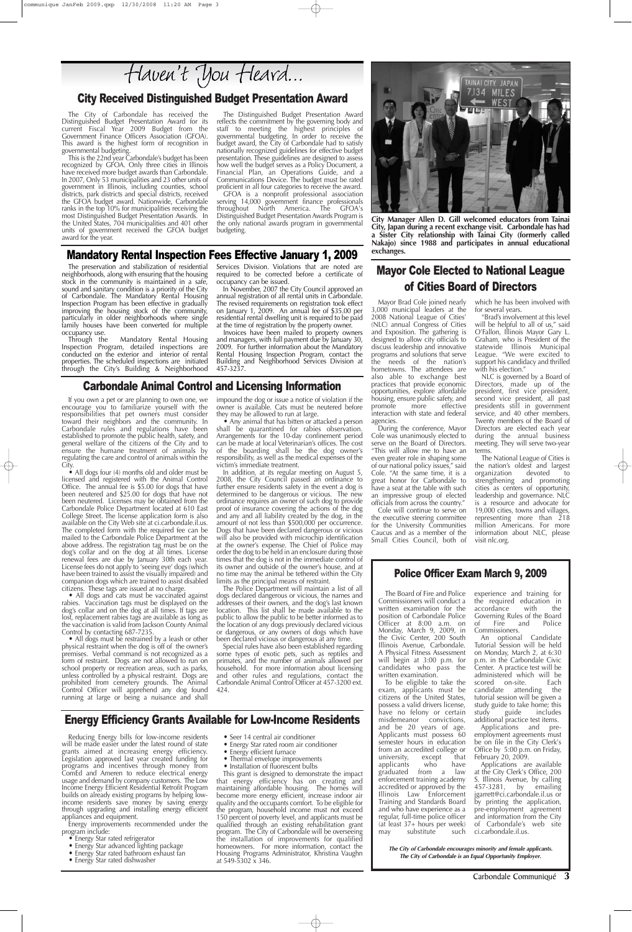#### Mandatory Rental Inspection Fees Effective January 1, 2009

The preservation and stabilization of residential neighborhoods, along with ensuring that the housing stock in the community is maintained in a safe, sound and sanitary condition is a priority of the City of Carbondale. The Mandatory Rental Housing Inspection Program has been effective in gradually improving the housing stock of the community, particularly in older neighborhoods where single family houses have been converted for multiple occupancy use.

Through the Mandatory Rental Housing Inspection Program, detailed inspections are conducted on the exterior and interior of rental properties. The scheduled inspections are initiated through the City's Building & Neighborhood Services Division. Violations that are noted are required to be corrected before a certificate of occupancy can be issued.

In November, 2007 the City Council approved an annual registration of all rental units in Carbondale. The revised requirements on registration took effect on January 1, 2009. An annual fee of \$35.00 per residential rental dwelling unit is required to be paid at the time of registration by the property owner. Invoices have been mailed to property owners

and managers, with full payment due by January 30, 2009. For further information about the Mandatory Rental Housing Inspection Program, contact the Building and Neighborhood Services Division at 457-3237.

• All dogs four (4) months old and older must be licensed and registered with the Animal Control Office. The annual fee is \$5.00 for dogs that have been neutered and \$25.00 for dogs that have not been neutered. Licenses may be obtained from the Carbondale Police Department located at 610 East College Street. The license application form is also available on the City Web site at ci.carbondale.il.us. The completed form with the required fee can be mailed to the Carbondale Police Department at the above address. The registration tag must be on the dog's collar and on the dog at all times. License renewal fees are due by January 30th each year. License fees do not apply to 'seeing eye' dogs (which have been trained to assist the visually impaired) and companion dogs which are trained to assist disabled citizens. These tags are issued at no charge.

Carbondale Communiqué **3**

#### Carbondale Animal Control and Licensing Information

If you own a pet or are planning to own one, we encourage you to familiarize yourself with the responsibilities that pet owners must consider toward their neighbors and the community. In Carbondale rules and regulations have been established to promote the public health, safety, and general welfare of the citizens of the City and to ensure the humane treatment of animals by regulating the care and control of animals within the City.

• All dogs must be restrained by a leash or other physical restraint when the dog is off of the owner's premises. Verbal command is not recognized as a form of restraint. Dogs are not allowed to run on school property or recreation areas, such as parks, unless controlled by a physical restraint. Dogs are prohibited from cemetery grounds. The Animal Control Officer will apprehend any dog found running at large or being a nuisance and shall

**•** All dogs and cats must be vaccinated against rabies. Vaccination tags must be displayed on the dog's collar and on the dog at all times. If tags are lost, replacement rabies tags are available as long as the vaccination is valid from Jackson County Animal Control by contacting 687-7235.

Energy improvements recommended under the program include:

- **•** Seer 14 central air conditioner
- **•** Energy Star rated room air conditioner
- **•** Energy efficient furnace
- **•** Thermal envelope improvements
- Installation of fluorescent bulbs

impound the dog or issue a notice of violation if the owner is available. Cats must be neutered before they may be allowed to run at large.

**•** Any animal that has bitten or attacked a person shall be quarantined for rabies observation. Arrangements for the 10-day confinement period can be made at local Veterinarian's offices. The cost of the boarding shall be the dog owner's responsibility, as well as the medical expenses of the victim's immediate treatment.

In addition, at its regular meeting on August 5, 2008, the City Council passed an ordinance to further ensure residents safety in the event a dog is determined to be dangerous or vicious. The new ordinance requires an owner of such dog to provide proof of insurance covering the actions of the dog and any and all liability created by the dog, in the amount of not less than \$500,000 per occurrence. Dogs that have been declared dangerous or vicious will also be provided with microchip identification at the owner's expense. The Chief of Police may order the dog to be held in an enclosure during those times that the dog is not in the immediate control of its owner and outside of the owner's house, and at no time may the animal be tethered within the City limits as the principal means of restraint.

The Police Department will maintain a list of all dogs declared dangerous or vicious, the names and addresses of their owners, and the dog's last known location. This list shall be made available to the public to allow the public to be better informed as to the location of any dogs previously declared vicious or dangerous, or any owners of dogs which have been declared vicious or dangerous at any time.

Special rules have also been established regarding some types of exotic pets, such as reptiles and primates, and the number of animals allowed per household. For more information about licensing and other rules and regulations, contact the Carbondale Animal Control Officer at 457-3200 ext. 424.

#### City Received Distinguished Budget Presentation Award

# Energy Efficiency Grants Available for Low-Income Residents

To be eligible to take the exam, applicants must be citizens of the United States, possess a valid drivers license, have no felony or certain misdemeanor convictions, and be 20 years of age. Applicants must possess 60 semester hours in education from an accredited college or<br>university, except that university, except that<br>applicants who have applicants graduated from a law enforcement training academy accredited or approved by the Illinois Law Enforcement Training and Standards Board and who have experience as a regular, full-time police officer (at least 37+ hours per week)<br>may substitute such may substitute

Reducing Energy bills for low-income residents will be made easier under the latest round of state grants aimed at increasing energy efficiency. Legislation approved last year created funding for programs and incentives through money from ComEd and Ameren to reduce electrical energy usage and demand by company customers. The Low Income Energy Efficient Residential Retrofit Program builds on already existing programs by helping lowincome residents save money by saving energy through upgrading and installing energy efficient appliances and equipment.

- **•** Energy Star rated refrigerator
- Energy Star advanced lighting package
- Energy Star rated bathroom exhaust fan
- **•** Energy Star rated dishwasher

This grant is designed to demonstrate the impact that energy efficiency has on creating and maintaining affordable housing. The homes will become more energy efficient, increase indoor air quality and the occupants comfort. To be eligible for the program, household income must not exceed 150 percent of poverty level, and applicants must be qualified through an existing rehabilitation grant program. The City of Carbondale will be overseeing the installation of improvements for qualified homeowners. For more information, contact the Housing Programs Administrator, Khristina Vaughn at 549-5302 x 346.

# Mayor Cole Elected to National League of Cities Board of Directors

Mayor Brad Cole joined nearly 3,000 municipal leaders at the 2008 National League of Cities' (NLC) annual Congress of Cities and Exposition. The gathering is designed to allow city officials to discuss leadership and innovative programs and solutions that serve the needs of the nation's hometowns. The attendees are also able to exchange best practices that provide economic opportunities, explore affordable housing, ensure public safety, and<br>promote more effective promote more interaction with state and federal agencies.

During the conference, Mayor Cole was unanimously elected to serve on the Board of Directors. "This will allow me to have an even greater role in shaping some of our national policy issues," said Cole. "At the same time, it is a great honor for Carbondale to have a seat at the table with such an impressive group of elected officials from across the country."

Cole will continue to serve on the executive steering committee for the University Communities Caucus and as a member of the Small Cities Council, both of which he has been involved with for several years.

"Brad's involvement at this level will be helpful to all of us," said O'Fallon, Illinois Mayor Gary L. Graham, who is President of the statewide Illinois Municipal League. "We were excited to support his candidacy and thrilled with his election."

NLC is governed by a Board of Directors, made up of the president, first vice president, second vice president, all past presidents still in government service, and 40 other members. Twenty members of the Board of Directors are elected each year during the annual business meeting. They will serve two-year terms.

The National League of Cities is the nation's oldest and largest<br>organization devoted to organization devoted to strengthening and promoting cities as centers of opportunity, leadership and governance. NLC is a resource and advocate for 19,000 cities, towns and villages, representing more than  $\overline{2}18$ million Americans. For more information about NLC, please visit nlc.org.

The City of Carbondale has received the Distinguished Budget Presentation Award for its current Fiscal Year 2009 Budget from the Government Finance Officers Association (GFOA). This award is the highest form of recognition in governmental budgeting.

This is the 22nd year Carbondale's budget has been recognized by GFOA. Only three cities in Illinois have received more budget awards than Carbondale. In 2007, Only 53 municipalities and 23 other units of government in Illinois, including counties, school districts, park districts and special districts, received the GFOA budget award. Nationwide, Carbondale ranks in the top 10% for municipalities receiving the most Distinguished Budget Presentation Awards. In the United States, 704 municipalities and 401 other units of government received the GFOA budget award for the year.

The Distinguished Budget Presentation Award reflects the commitment by the governing body and staff to meeting the highest principles of governmental budgeting. In order to receive the budget award, the City of Carbondale had to satisfy nationally recognized guidelines for effective budget presentation. These guidelines are designed to assess how well the budget serves as a Policy Document, a Financial Plan, an Operations Guide, and a Communications Device. The budget must be rated proficient in all four categories to receive the award.

GFOA is a nonprofit professional association serving 14,000 government finance professionals throughout North America. The GFOA's Distinguished Budget Presentation Awards Program is the only national awards program in governmental budgeting.

> *The City of Carbondale encourages minority and female applicants. The City of Carbondale is an Equal Opportunity Employer.*

![](_page_2_Picture_23.jpeg)

**City Manager Allen D. Gill welcomed educators from Tainai City, Japan during a recent exchange visit. Carbondale has had a Sister City relationship with Tainai City (formerly called Nakajo) since 1988 and participates in annual educational exchanges.** 

#### Police Officer Exam March 9, 2009

The Board of Fire and Police Commissioners will conduct a written examination for the position of Carbondale Police Officer at 8:00 a.m. on Monday, March 9, 2009, in the Civic Center, 200 South Illinois Avenue, Carbondale.

A Physical Fitness Assessment will begin at 3:00 p.m. for candidates who pass the written examination.

experience and training for the required education in<br>accordance with the accordance with Governing Rules of the Board<br>of Fire and Police and Police Commissioners.

An optional Candidate Tutorial Session will be held on Monday, March 2, at 6:30

p.m. in the Carbondale Civic Center. A practice test will be administered which will be scored on-site. Each candidate attending the tutorial session will be given a study guide to take home; this<br>study guide includes study guide includes additional practice test items.

Applications and preemployment agreements must be on file in the City Clerk's Office by 5:00 p.m. on Friday, February 20, 2009.

Applications are available at the City Clerk's Office, 200 S. Illinois Avenue, by calling 457-3281, by emailing jgarrett@ci.carbondale.il.us or by printing the application, pre-employment agreement and information from the City of Carbondale's web site ci.carbondale.il.us.

Haven't You Heard...